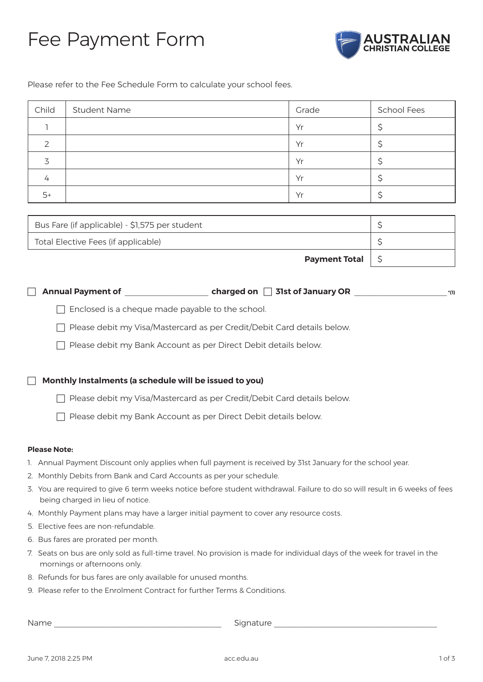### Fee Payment Form



Please refer to the Fee Schedule Form to calculate your school fees.

| Child | <b>Student Name</b> | Grade | <b>School Fees</b> |
|-------|---------------------|-------|--------------------|
|       |                     | Yr    |                    |
|       |                     | Yr    |                    |
|       |                     | Yr    |                    |
| 4     |                     | Yr    |                    |
| $5+$  |                     | Yr    |                    |

| Bus Fare (if applicable) - \$1,575 per student |  |
|------------------------------------------------|--|
| Total Elective Fees (if applicable)            |  |
| <b>Payment Total</b>                           |  |

|  | $\Box$ Annual Payment of |  |  |  | charged on $\Box$ 31st of January OR |  |  |  |
|--|--------------------------|--|--|--|--------------------------------------|--|--|--|
|--|--------------------------|--|--|--|--------------------------------------|--|--|--|

 $\Box$  Enclosed is a cheque made payable to the school.

Please debit my Visa/Mastercard as per Credit/Debit Card details below.

 $\Box$  Please debit my Bank Account as per Direct Debit details below.

#### **Monthly Instalments (a schedule will be issued to you)**

□ Please debit my Visa/Mastercard as per Credit/Debit Card details below.

Please debit my Bank Account as per Direct Debit details below.

#### **Please Note:**

- 1. Annual Payment Discount only applies when full payment is received by 31st January for the school year.
- 2. Monthly Debits from Bank and Card Accounts as per your schedule.
- 3. You are required to give 6 term weeks notice before student withdrawal. Failure to do so will result in 6 weeks of fees being charged in lieu of notice.
- 4. Monthly Payment plans may have a larger initial payment to cover any resource costs.
- 5. Elective fees are non-refundable.
- 6. Bus fares are prorated per month.
- 7. Seats on bus are only sold as full-time travel. No provision is made for individual days of the week for travel in the mornings or afternoons only.
- 8. Refunds for bus fares are only available for unused months.
- 9. Please refer to the Enrolment Contract for further Terms & Conditions.

Name and the state of the state of the Signature  $\sim$  Signature  $\sim$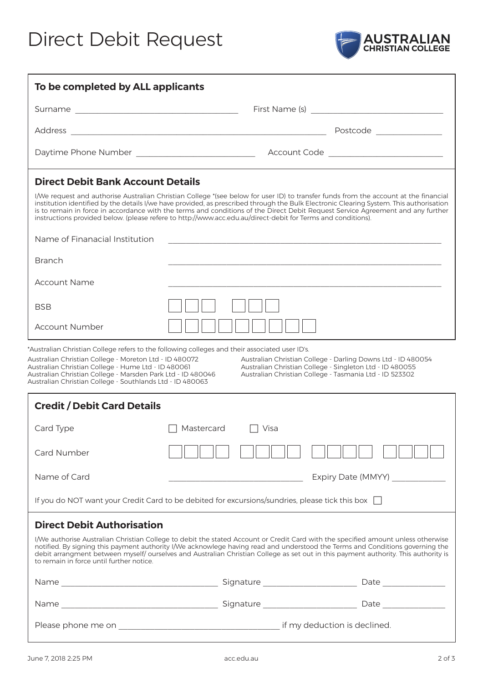# Direct Debit Request



| To be completed by ALL applicants                                                                                                                                                                                                                                                                                                                                                                                                                                                                                                                                              |                                                                                                                                                                                                                                                                                                                                                                                                           |                                 |  |  |  |
|--------------------------------------------------------------------------------------------------------------------------------------------------------------------------------------------------------------------------------------------------------------------------------------------------------------------------------------------------------------------------------------------------------------------------------------------------------------------------------------------------------------------------------------------------------------------------------|-----------------------------------------------------------------------------------------------------------------------------------------------------------------------------------------------------------------------------------------------------------------------------------------------------------------------------------------------------------------------------------------------------------|---------------------------------|--|--|--|
|                                                                                                                                                                                                                                                                                                                                                                                                                                                                                                                                                                                |                                                                                                                                                                                                                                                                                                                                                                                                           |                                 |  |  |  |
|                                                                                                                                                                                                                                                                                                                                                                                                                                                                                                                                                                                |                                                                                                                                                                                                                                                                                                                                                                                                           |                                 |  |  |  |
|                                                                                                                                                                                                                                                                                                                                                                                                                                                                                                                                                                                |                                                                                                                                                                                                                                                                                                                                                                                                           |                                 |  |  |  |
| <b>Direct Debit Bank Account Details</b><br>I/We request and authorise Australian Christian College *(see below for user ID) to transfer funds from the account at the financial<br>institution identified by the details I/we have provided, as prescribed through the Bulk Electronic Clearing System. This authorisation<br>is to remain in force in accordance with the terms and conditions of the Direct Debit Request Service Agreement and any further<br>instructions provided below. (please refere to http://www.acc.edu.au/direct-debit for Terms and conditions). |                                                                                                                                                                                                                                                                                                                                                                                                           |                                 |  |  |  |
| Name of Finanacial Institution                                                                                                                                                                                                                                                                                                                                                                                                                                                                                                                                                 |                                                                                                                                                                                                                                                                                                                                                                                                           |                                 |  |  |  |
| <b>Branch</b>                                                                                                                                                                                                                                                                                                                                                                                                                                                                                                                                                                  |                                                                                                                                                                                                                                                                                                                                                                                                           |                                 |  |  |  |
| <b>Account Name</b>                                                                                                                                                                                                                                                                                                                                                                                                                                                                                                                                                            |                                                                                                                                                                                                                                                                                                                                                                                                           |                                 |  |  |  |
| <b>BSB</b>                                                                                                                                                                                                                                                                                                                                                                                                                                                                                                                                                                     |                                                                                                                                                                                                                                                                                                                                                                                                           |                                 |  |  |  |
| Account Number                                                                                                                                                                                                                                                                                                                                                                                                                                                                                                                                                                 |                                                                                                                                                                                                                                                                                                                                                                                                           |                                 |  |  |  |
| *Australian Christian College refers to the following colleges and their associated user ID's.<br>Australian Christian College - Moreton Ltd - ID 480072<br>Australian Christian College - Darling Downs Ltd - ID 480054<br>Australian Christian College - Hume Ltd - ID 480061<br>Australian Christian College - Singleton Ltd - ID 480055<br>Australian Christian College - Marsden Park Ltd - ID 480046<br>Australian Christian College - Tasmania Ltd - ID 523302<br>Australian Christian College - Southlands Ltd - ID 480063                                             |                                                                                                                                                                                                                                                                                                                                                                                                           |                                 |  |  |  |
| <b>Credit / Debit Card Details</b>                                                                                                                                                                                                                                                                                                                                                                                                                                                                                                                                             |                                                                                                                                                                                                                                                                                                                                                                                                           |                                 |  |  |  |
| Card Type                                                                                                                                                                                                                                                                                                                                                                                                                                                                                                                                                                      | Mastercard<br>Visa                                                                                                                                                                                                                                                                                                                                                                                        |                                 |  |  |  |
| Card Number                                                                                                                                                                                                                                                                                                                                                                                                                                                                                                                                                                    |                                                                                                                                                                                                                                                                                                                                                                                                           |                                 |  |  |  |
| Name of Card                                                                                                                                                                                                                                                                                                                                                                                                                                                                                                                                                                   | <u> 1989 - Johann Barn, mars ann an t-Amhair ann an t-A</u>                                                                                                                                                                                                                                                                                                                                               | Expiry Date (MMYY) ____________ |  |  |  |
| If you do NOT want your Credit Card to be debited for excursions/sundries, please tick this box $\Box$                                                                                                                                                                                                                                                                                                                                                                                                                                                                         |                                                                                                                                                                                                                                                                                                                                                                                                           |                                 |  |  |  |
| <b>Direct Debit Authorisation</b>                                                                                                                                                                                                                                                                                                                                                                                                                                                                                                                                              |                                                                                                                                                                                                                                                                                                                                                                                                           |                                 |  |  |  |
| to remain in force until further notice.                                                                                                                                                                                                                                                                                                                                                                                                                                                                                                                                       | I/We authorise Australian Christian College to debit the stated Account or Credit Card with the specified amount unless otherwise<br>notified. By signing this payment authority I/We acknowlege having read and understood the Terms and Conditions governing the<br>debit arrangment between myself/ ourselves and Australian Christian College as set out in this payment authority. This authority is |                                 |  |  |  |
|                                                                                                                                                                                                                                                                                                                                                                                                                                                                                                                                                                                |                                                                                                                                                                                                                                                                                                                                                                                                           |                                 |  |  |  |
|                                                                                                                                                                                                                                                                                                                                                                                                                                                                                                                                                                                |                                                                                                                                                                                                                                                                                                                                                                                                           |                                 |  |  |  |
|                                                                                                                                                                                                                                                                                                                                                                                                                                                                                                                                                                                |                                                                                                                                                                                                                                                                                                                                                                                                           |                                 |  |  |  |